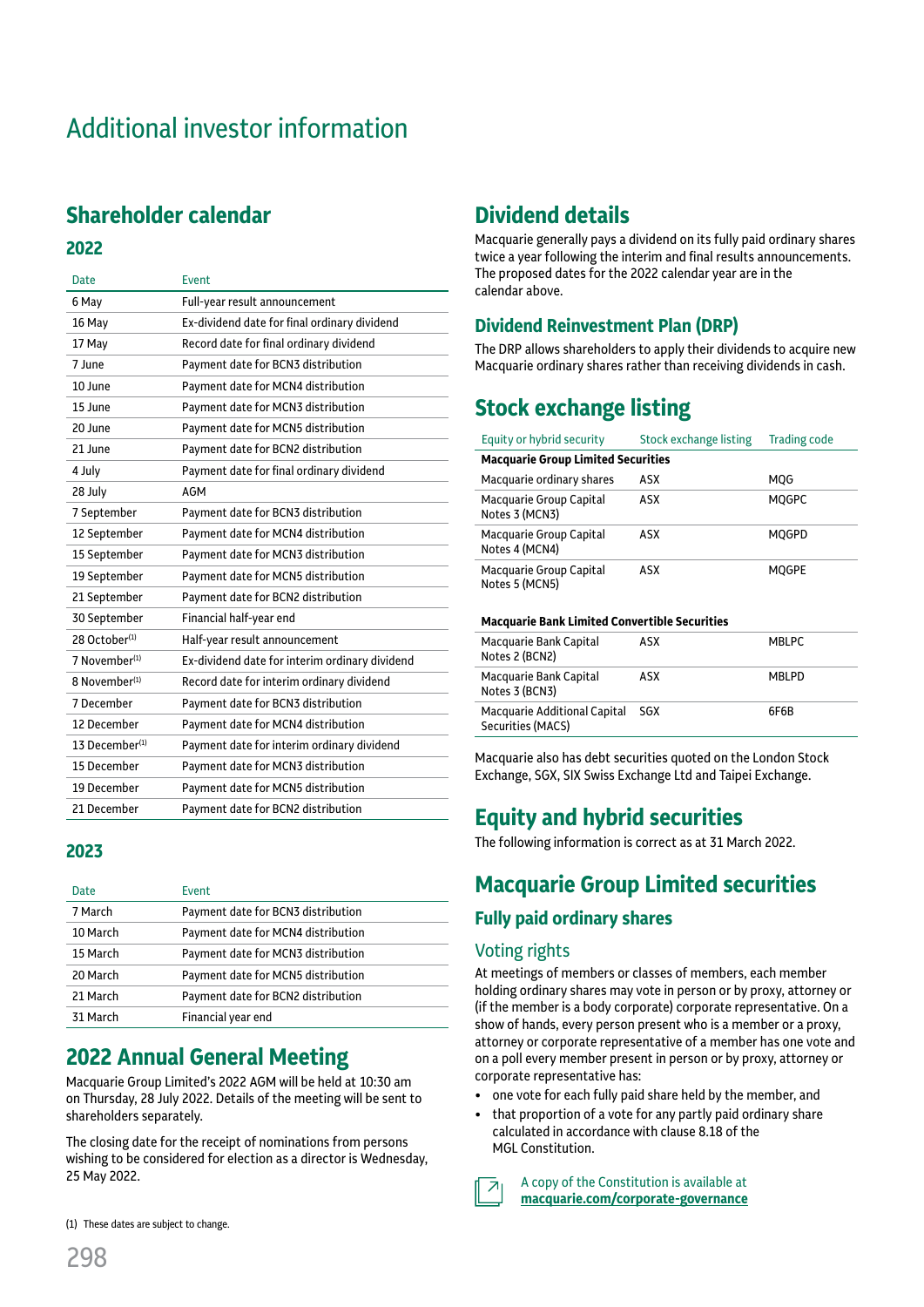# Additional investor information

# **Shareholder calendar**

#### **2022**

| <b>Date</b>                | Event                                          |
|----------------------------|------------------------------------------------|
| 6 May                      | Full-year result announcement                  |
| 16 May                     | Ex-dividend date for final ordinary dividend   |
| 17 May                     | Record date for final ordinary dividend        |
| 7 June                     | Payment date for BCN3 distribution             |
| 10 June                    | Payment date for MCN4 distribution             |
| 15 June                    | Payment date for MCN3 distribution             |
| 20 June                    | Payment date for MCN5 distribution             |
| 21 June                    | Payment date for BCN2 distribution             |
| 4 July                     | Payment date for final ordinary dividend       |
| 28 July                    | AGM                                            |
| 7 September                | Payment date for BCN3 distribution             |
| 12 September               | Payment date for MCN4 distribution             |
| 15 September               | Payment date for MCN3 distribution             |
| 19 September               | Payment date for MCN5 distribution             |
| 21 September               | Payment date for BCN2 distribution             |
| 30 September               | Financial half-year end                        |
| 28 October <sup>(1)</sup>  | Half-year result announcement                  |
| 7 November <sup>(1)</sup>  | Ex-dividend date for interim ordinary dividend |
| 8 November <sup>(1)</sup>  | Record date for interim ordinary dividend      |
| 7 December                 | Payment date for BCN3 distribution             |
| 12 December                | Payment date for MCN4 distribution             |
| 13 December <sup>(1)</sup> | Payment date for interim ordinary dividend     |
| 15 December                | Payment date for MCN3 distribution             |
| 19 December                | Payment date for MCN5 distribution             |
| 21 December                | Payment date for BCN2 distribution             |

#### **2023**

| <b>Date</b> | Event                              |
|-------------|------------------------------------|
| 7 March     | Payment date for BCN3 distribution |
| 10 March    | Payment date for MCN4 distribution |
| 15 March    | Payment date for MCN3 distribution |
| 20 March    | Payment date for MCN5 distribution |
| 21 March    | Payment date for BCN2 distribution |
| 31 March    | Financial year end                 |

# **2022 Annual General Meeting**

Macquarie Group Limited's 2022 AGM will be held at 10:30 am on Thursday, 28 July 2022. Details of the meeting will be sent to shareholders separately.

The closing date for the receipt of nominations from persons wishing to be considered for election as a director is Wednesday, 25 May 2022.

# **Dividend details**

Macquarie generally pays a dividend on its fully paid ordinary shares twice a year following the interim and final results announcements. The proposed dates for the 2022 calendar year are in the calendar above.

## **Dividend Reinvestment Plan (DRP)**

The DRP allows shareholders to apply their dividends to acquire new Macquarie ordinary shares rather than receiving dividends in cash.

# **Stock exchange listing**

| Equity or hybrid security                 | Stock exchange listing | <b>Trading code</b> |  |  |  |
|-------------------------------------------|------------------------|---------------------|--|--|--|
| <b>Macquarie Group Limited Securities</b> |                        |                     |  |  |  |
| Macquarie ordinary shares                 | ASX                    | MOG                 |  |  |  |
| Macquarie Group Capital<br>Notes 3 (MCN3) | ASX                    | <b>MOGPC</b>        |  |  |  |
| Macquarie Group Capital<br>Notes 4 (MCN4) | ASX                    | <b>MOGPD</b>        |  |  |  |
| Macquarie Group Capital<br>Notes 5 (MCN5) | ASX                    | <b>MOGPE</b>        |  |  |  |

#### **Macquarie Bank Limited Convertible Securities**

| Macquarie Bank Capital<br>Notes 2 (BCN2)              | ASX | <b>MBLPC</b> |
|-------------------------------------------------------|-----|--------------|
| Macquarie Bank Capital<br>Notes 3 (BCN3)              | ASX | <b>MBLPD</b> |
| Macquarie Additional Capital SGX<br>Securities (MACS) |     | 6F6B         |

Macquarie also has debt securities quoted on the London Stock Exchange, SGX, SIX Swiss Exchange Ltd and Taipei Exchange.

# **Equity and hybrid securities**

The following information is correct as at 31 March 2022.

# **Macquarie Group Limited securities**

#### **Fully paid ordinary shares**

#### Voting rights

At meetings of members or classes of members, each member holding ordinary shares may vote in person or by proxy, attorney or (if the member is a body corporate) corporate representative. On a show of hands, every person present who is a member or a proxy, attorney or corporate representative of a member has one vote and on a poll every member present in person or by proxy, attorney or corporate representative has:

- one vote for each fully paid share held by the member, and
- that proportion of a vote for any partly paid ordinary share calculated in accordance with clause 8.18 of the MGL Constitution.
- A copy of the Constitution is available at  $\overline{\mathcal{A}}$ **[macquarie.com/corporat](https://www.macquarie.com/about/company/corporate-governance.html)e-governance**

(1) These dates are subject to change.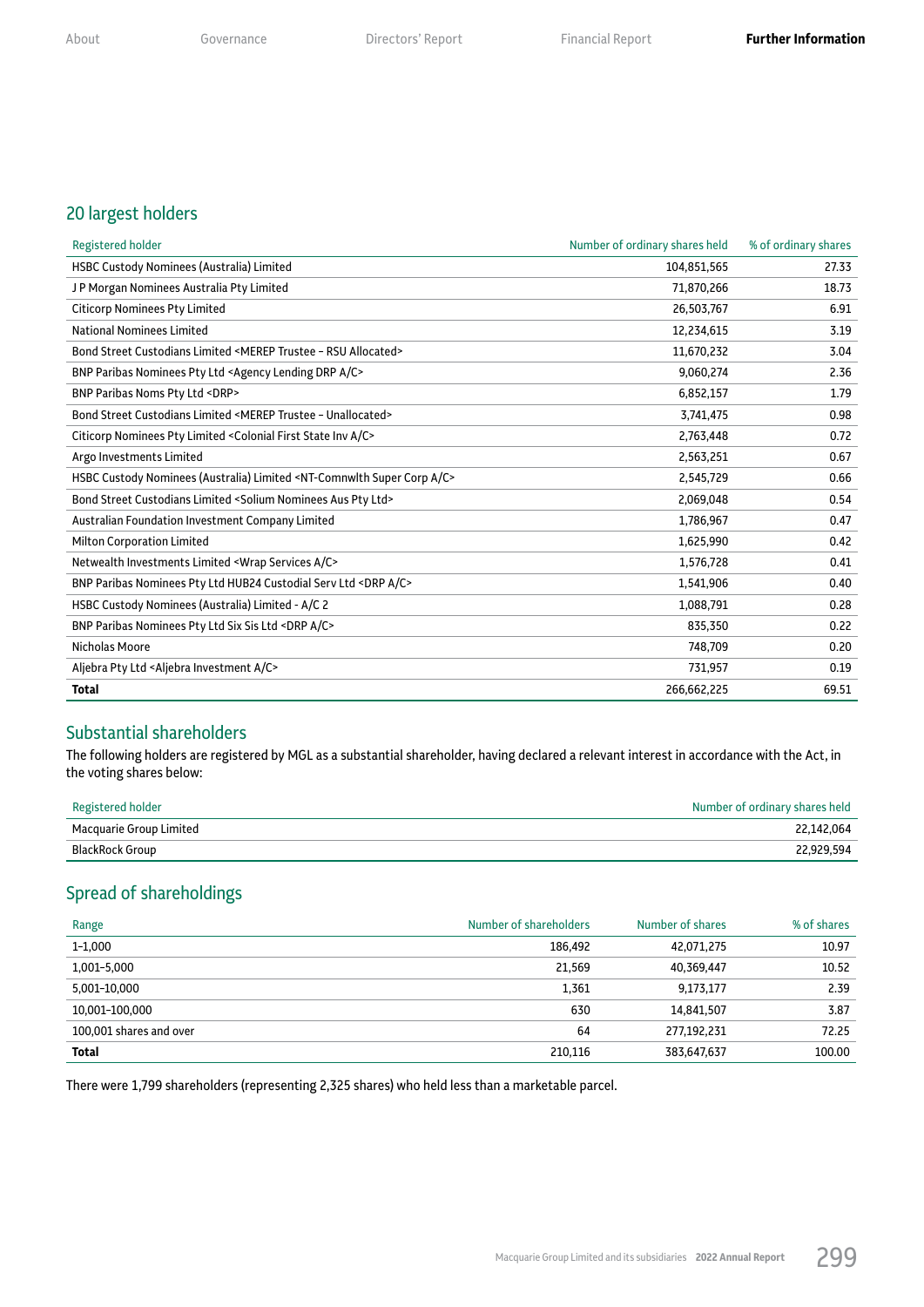#### 20 largest holders

| Registered holder                                                                                | Number of ordinary shares held | % of ordinary shares |
|--------------------------------------------------------------------------------------------------|--------------------------------|----------------------|
| HSBC Custody Nominees (Australia) Limited                                                        | 104,851,565                    | 27.33                |
| JP Morgan Nominees Australia Pty Limited                                                         | 71,870,266                     | 18.73                |
| <b>Citicorp Nominees Pty Limited</b>                                                             | 26,503,767                     | 6.91                 |
| <b>National Nominees Limited</b>                                                                 | 12,234,615                     | 3.19                 |
| Bond Street Custodians Limited <merep -="" allocated="" rsu="" trustee=""></merep>               | 11,670,232                     | 3.04                 |
| BNP Paribas Nominees Pty Ltd <agency a="" c="" drp="" lending=""></agency>                       | 9,060,274                      | 2.36                 |
| BNP Paribas Noms Pty Ltd <drp></drp>                                                             | 6,852,157                      | 1.79                 |
| Bond Street Custodians Limited <merep -="" trustee="" unallocated=""></merep>                    | 3,741,475                      | 0.98                 |
| Citicorp Nominees Pty Limited < Colonial First State Inv A/C>                                    | 2,763,448                      | 0.72                 |
| Argo Investments Limited                                                                         | 2,563,251                      | 0.67                 |
| HSBC Custody Nominees (Australia) Limited <nt-comnwlth a="" c="" corp="" super=""></nt-comnwlth> | 2,545,729                      | 0.66                 |
| Bond Street Custodians Limited <solium aus="" ltd="" nominees="" pty=""></solium>                | 2,069,048                      | 0.54                 |
| Australian Foundation Investment Company Limited                                                 | 1,786,967                      | 0.47                 |
| <b>Milton Corporation Limited</b>                                                                | 1,625,990                      | 0.42                 |
| Netwealth Investments Limited <wrap a="" c="" services=""></wrap>                                | 1,576,728                      | 0.41                 |
| BNP Paribas Nominees Pty Ltd HUB24 Custodial Serv Ltd <drp a="" c=""></drp>                      | 1,541,906                      | 0.40                 |
| HSBC Custody Nominees (Australia) Limited - A/C 2                                                | 1,088,791                      | 0.28                 |
| BNP Paribas Nominees Pty Ltd Six Sis Ltd <drp a="" c=""></drp>                                   | 835,350                        | 0.22                 |
| <b>Nicholas Moore</b>                                                                            | 748,709                        | 0.20                 |
| Aljebra Pty Ltd <aljebra a="" c="" investment=""></aljebra>                                      | 731,957                        | 0.19                 |
| <b>Total</b>                                                                                     | 266,662,225                    | 69.51                |

### Substantial shareholders

The following holders are registered by MGL as a substantial shareholder, having declared a relevant interest in accordance with the Act, in the voting shares below:

| Registered holder       | Number of ordinary shares held |
|-------------------------|--------------------------------|
| Macquarie Group Limited | 22.142.064                     |
| BlackRock Group         | 22,929,594                     |

## Spread of shareholdings

| Range                   | Number of shareholders | Number of shares | % of shares |
|-------------------------|------------------------|------------------|-------------|
| $1 - 1,000$             | 186,492                | 42,071,275       | 10.97       |
| 1,001-5,000             | 21,569                 | 40,369,447       | 10.52       |
| 5,001-10,000            | 1,361                  | 9,173,177        | 2.39        |
| 10,001-100,000          | 630                    | 14,841,507       | 3.87        |
| 100,001 shares and over | 64                     | 277,192,231      | 72.25       |
| Total                   | 210.116                | 383,647,637      | 100.00      |

There were 1,799 shareholders (representing 2,325 shares) who held less than a marketable parcel.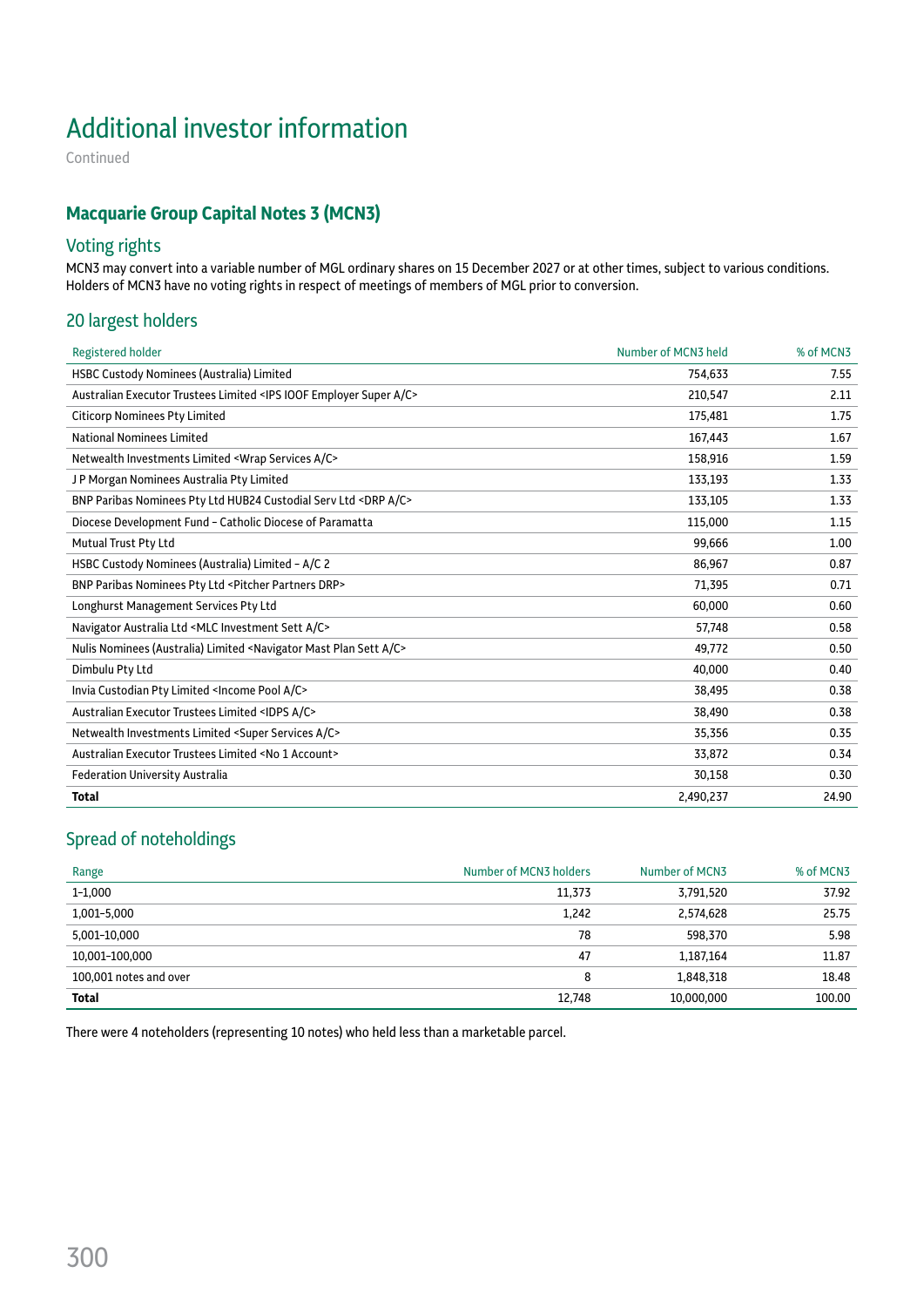# Additional investor information

Continued

## **Macquarie Group Capital Notes 3 (MCN3)**

### Voting rights

MCN3 may convert into a variable number of MGL ordinary shares on 15 December 2027 or at other times, subject to various conditions. Holders of MCN3 have no voting rights in respect of meetings of members of MGL prior to conversion.

#### 20 largest holders

| HSBC Custody Nominees (Australia) Limited<br>754,633<br>7.55<br>Australian Executor Trustees Limited <ips a="" c="" employer="" ioof="" super=""><br/>210,547<br/>2.11<br/><b>Citicorp Nominees Pty Limited</b><br/>175,481<br/>1.75<br/><b>National Nominees Limited</b><br/>167,443<br/>1.67<br/>Netwealth Investments Limited <wrap a="" c="" services=""><br/>158,916<br/>1.59<br/>JP Morgan Nominees Australia Pty Limited<br/>133,193<br/>1.33<br/>BNP Paribas Nominees Pty Ltd HUB24 Custodial Serv Ltd <drp a="" c=""><br/>133,105<br/>1.33<br/>Diocese Development Fund - Catholic Diocese of Paramatta<br/>115,000<br/>1.15<br/>99,666<br/>Mutual Trust Pty Ltd<br/>1.00<br/>HSBC Custody Nominees (Australia) Limited - A/C 2<br/>86,967<br/>0.87<br/>BNP Paribas Nominees Pty Ltd <pitcher drp="" partners=""><br/>71,395<br/>0.71<br/>Longhurst Management Services Pty Ltd<br/>60,000<br/>0.60<br/>Navigator Australia Ltd <mlc a="" c="" investment="" sett=""><br/>57,748<br/>0.58<br/>Nulis Nominees (Australia) Limited <navigator a="" c="" mast="" plan="" sett=""><br/>49,772<br/>0.50<br/>Dimbulu Pty Ltd<br/>40,000<br/>0.40<br/>Invia Custodian Pty Limited <income a="" c="" pool=""><br/>38,495<br/>0.38<br/>Australian Executor Trustees Limited <idps a="" c=""><br/>38,490<br/>0.38<br/>Netwealth Investments Limited <super a="" c="" services=""><br/>35,356<br/>0.35<br/>Australian Executor Trustees Limited <no 1="" account=""><br/>33,872<br/>0.34<br/><b>Federation University Australia</b><br/>30,158<br/>0.30<br/>2,490,237<br/>24.90<br/><b>Total</b></no></super></idps></income></navigator></mlc></pitcher></drp></wrap></ips> | <b>Registered holder</b> | Number of MCN3 held | % of MCN3 |
|----------------------------------------------------------------------------------------------------------------------------------------------------------------------------------------------------------------------------------------------------------------------------------------------------------------------------------------------------------------------------------------------------------------------------------------------------------------------------------------------------------------------------------------------------------------------------------------------------------------------------------------------------------------------------------------------------------------------------------------------------------------------------------------------------------------------------------------------------------------------------------------------------------------------------------------------------------------------------------------------------------------------------------------------------------------------------------------------------------------------------------------------------------------------------------------------------------------------------------------------------------------------------------------------------------------------------------------------------------------------------------------------------------------------------------------------------------------------------------------------------------------------------------------------------------------------------------------------------------------------------------------------------------------------------|--------------------------|---------------------|-----------|
|                                                                                                                                                                                                                                                                                                                                                                                                                                                                                                                                                                                                                                                                                                                                                                                                                                                                                                                                                                                                                                                                                                                                                                                                                                                                                                                                                                                                                                                                                                                                                                                                                                                                            |                          |                     |           |
|                                                                                                                                                                                                                                                                                                                                                                                                                                                                                                                                                                                                                                                                                                                                                                                                                                                                                                                                                                                                                                                                                                                                                                                                                                                                                                                                                                                                                                                                                                                                                                                                                                                                            |                          |                     |           |
|                                                                                                                                                                                                                                                                                                                                                                                                                                                                                                                                                                                                                                                                                                                                                                                                                                                                                                                                                                                                                                                                                                                                                                                                                                                                                                                                                                                                                                                                                                                                                                                                                                                                            |                          |                     |           |
|                                                                                                                                                                                                                                                                                                                                                                                                                                                                                                                                                                                                                                                                                                                                                                                                                                                                                                                                                                                                                                                                                                                                                                                                                                                                                                                                                                                                                                                                                                                                                                                                                                                                            |                          |                     |           |
|                                                                                                                                                                                                                                                                                                                                                                                                                                                                                                                                                                                                                                                                                                                                                                                                                                                                                                                                                                                                                                                                                                                                                                                                                                                                                                                                                                                                                                                                                                                                                                                                                                                                            |                          |                     |           |
|                                                                                                                                                                                                                                                                                                                                                                                                                                                                                                                                                                                                                                                                                                                                                                                                                                                                                                                                                                                                                                                                                                                                                                                                                                                                                                                                                                                                                                                                                                                                                                                                                                                                            |                          |                     |           |
|                                                                                                                                                                                                                                                                                                                                                                                                                                                                                                                                                                                                                                                                                                                                                                                                                                                                                                                                                                                                                                                                                                                                                                                                                                                                                                                                                                                                                                                                                                                                                                                                                                                                            |                          |                     |           |
|                                                                                                                                                                                                                                                                                                                                                                                                                                                                                                                                                                                                                                                                                                                                                                                                                                                                                                                                                                                                                                                                                                                                                                                                                                                                                                                                                                                                                                                                                                                                                                                                                                                                            |                          |                     |           |
|                                                                                                                                                                                                                                                                                                                                                                                                                                                                                                                                                                                                                                                                                                                                                                                                                                                                                                                                                                                                                                                                                                                                                                                                                                                                                                                                                                                                                                                                                                                                                                                                                                                                            |                          |                     |           |
|                                                                                                                                                                                                                                                                                                                                                                                                                                                                                                                                                                                                                                                                                                                                                                                                                                                                                                                                                                                                                                                                                                                                                                                                                                                                                                                                                                                                                                                                                                                                                                                                                                                                            |                          |                     |           |
|                                                                                                                                                                                                                                                                                                                                                                                                                                                                                                                                                                                                                                                                                                                                                                                                                                                                                                                                                                                                                                                                                                                                                                                                                                                                                                                                                                                                                                                                                                                                                                                                                                                                            |                          |                     |           |
|                                                                                                                                                                                                                                                                                                                                                                                                                                                                                                                                                                                                                                                                                                                                                                                                                                                                                                                                                                                                                                                                                                                                                                                                                                                                                                                                                                                                                                                                                                                                                                                                                                                                            |                          |                     |           |
|                                                                                                                                                                                                                                                                                                                                                                                                                                                                                                                                                                                                                                                                                                                                                                                                                                                                                                                                                                                                                                                                                                                                                                                                                                                                                                                                                                                                                                                                                                                                                                                                                                                                            |                          |                     |           |
|                                                                                                                                                                                                                                                                                                                                                                                                                                                                                                                                                                                                                                                                                                                                                                                                                                                                                                                                                                                                                                                                                                                                                                                                                                                                                                                                                                                                                                                                                                                                                                                                                                                                            |                          |                     |           |
|                                                                                                                                                                                                                                                                                                                                                                                                                                                                                                                                                                                                                                                                                                                                                                                                                                                                                                                                                                                                                                                                                                                                                                                                                                                                                                                                                                                                                                                                                                                                                                                                                                                                            |                          |                     |           |
|                                                                                                                                                                                                                                                                                                                                                                                                                                                                                                                                                                                                                                                                                                                                                                                                                                                                                                                                                                                                                                                                                                                                                                                                                                                                                                                                                                                                                                                                                                                                                                                                                                                                            |                          |                     |           |
|                                                                                                                                                                                                                                                                                                                                                                                                                                                                                                                                                                                                                                                                                                                                                                                                                                                                                                                                                                                                                                                                                                                                                                                                                                                                                                                                                                                                                                                                                                                                                                                                                                                                            |                          |                     |           |
|                                                                                                                                                                                                                                                                                                                                                                                                                                                                                                                                                                                                                                                                                                                                                                                                                                                                                                                                                                                                                                                                                                                                                                                                                                                                                                                                                                                                                                                                                                                                                                                                                                                                            |                          |                     |           |
|                                                                                                                                                                                                                                                                                                                                                                                                                                                                                                                                                                                                                                                                                                                                                                                                                                                                                                                                                                                                                                                                                                                                                                                                                                                                                                                                                                                                                                                                                                                                                                                                                                                                            |                          |                     |           |
|                                                                                                                                                                                                                                                                                                                                                                                                                                                                                                                                                                                                                                                                                                                                                                                                                                                                                                                                                                                                                                                                                                                                                                                                                                                                                                                                                                                                                                                                                                                                                                                                                                                                            |                          |                     |           |
|                                                                                                                                                                                                                                                                                                                                                                                                                                                                                                                                                                                                                                                                                                                                                                                                                                                                                                                                                                                                                                                                                                                                                                                                                                                                                                                                                                                                                                                                                                                                                                                                                                                                            |                          |                     |           |

## Spread of noteholdings

| Range                  | Number of MCN3 holders | Number of MCN3 | % of MCN3 |
|------------------------|------------------------|----------------|-----------|
| $1 - 1,000$            | 11,373                 | 3,791,520      | 37.92     |
| 1,001-5,000            | 1,242                  | 2,574,628      | 25.75     |
| 5,001-10,000           | 78                     | 598,370        | 5.98      |
| 10,001-100,000         | 47                     | 1,187,164      | 11.87     |
| 100.001 notes and over | 8                      | 1,848,318      | 18.48     |
| Total                  | 12,748                 | 10,000,000     | 100.00    |

There were 4 noteholders (representing 10 notes) who held less than a marketable parcel.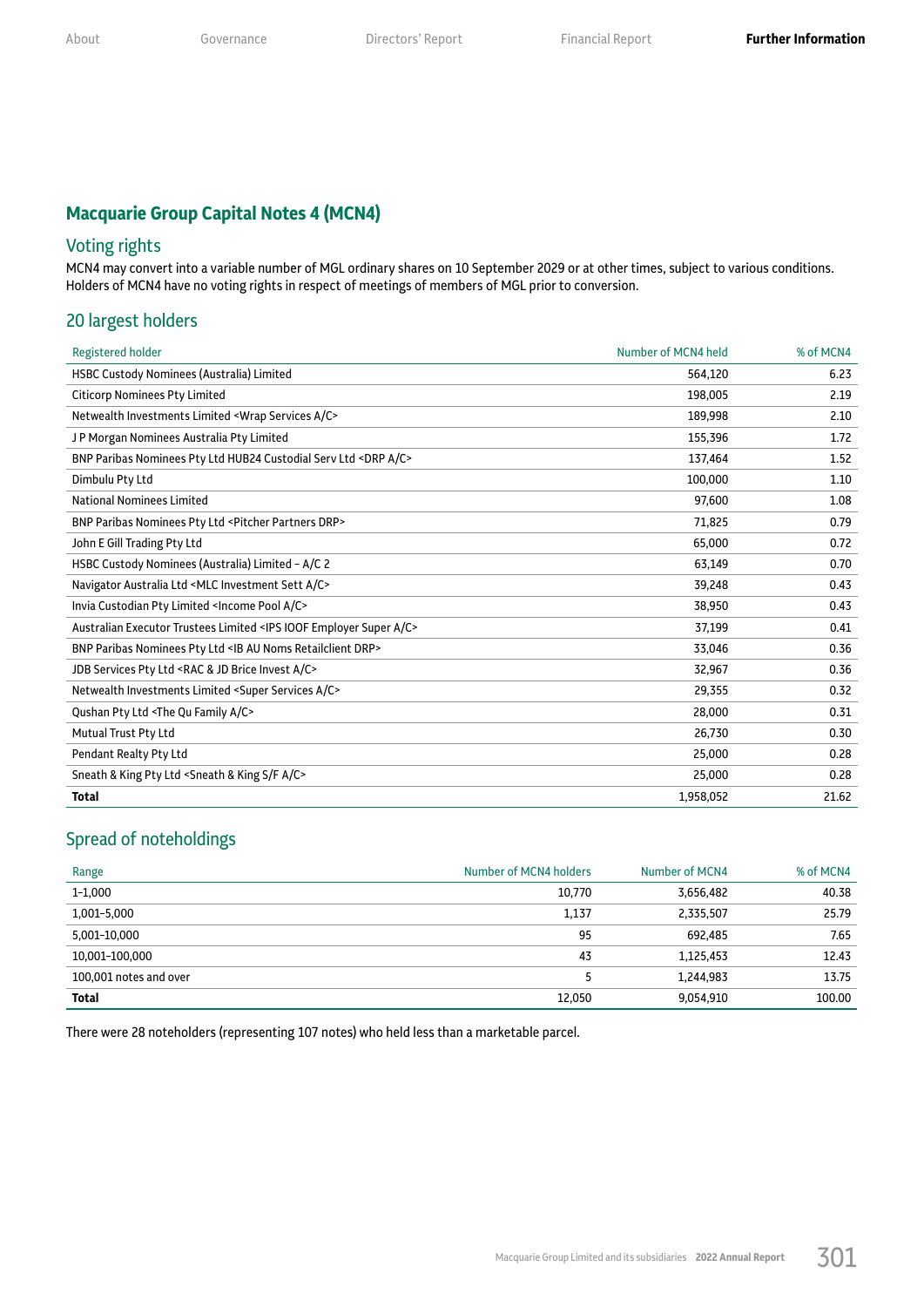## **Macquarie Group Capital Notes 4 (MCN4)**

## Voting rights

MCN4 may convert into a variable number of MGL ordinary shares on 10 September 2029 or at other times, subject to various conditions. Holders of MCN4 have no voting rights in respect of meetings of members of MGL prior to conversion.

#### 20 largest holders

| <b>Registered holder</b>                                                                | Number of MCN4 held | % of MCN4 |
|-----------------------------------------------------------------------------------------|---------------------|-----------|
| <b>HSBC Custody Nominees (Australia) Limited</b>                                        | 564,120             | 6.23      |
| <b>Citicorp Nominees Pty Limited</b>                                                    | 198.005             | 2.19      |
| Netwealth Investments Limited <wrap a="" c="" services=""></wrap>                       | 189,998             | 2.10      |
| JP Morgan Nominees Australia Pty Limited                                                | 155,396             | 1.72      |
| BNP Paribas Nominees Pty Ltd HUB24 Custodial Serv Ltd <drp a="" c=""></drp>             | 137,464             | 1.52      |
| Dimbulu Pty Ltd                                                                         | 100,000             | 1.10      |
| <b>National Nominees Limited</b>                                                        | 97,600              | 1.08      |
| BNP Paribas Nominees Pty Ltd <pitcher drp="" partners=""></pitcher>                     | 71,825              | 0.79      |
| John E Gill Trading Pty Ltd                                                             | 65,000              | 0.72      |
| HSBC Custody Nominees (Australia) Limited - A/C 2                                       | 63,149              | 0.70      |
| Navigator Australia Ltd <mlc a="" c="" investment="" sett=""></mlc>                     | 39,248              | 0.43      |
| Invia Custodian Pty Limited <income a="" c="" pool=""></income>                         | 38,950              | 0.43      |
| Australian Executor Trustees Limited <ips a="" c="" employer="" ioof="" super=""></ips> | 37,199              | 0.41      |
| BNP Paribas Nominees Pty Ltd <ib au="" drp="" noms="" retailclient=""></ib>             | 33,046              | 0.36      |
| JDB Services Pty Ltd <rac &="" a="" brice="" c="" invest="" jd=""></rac>                | 32,967              | 0.36      |
| Netwealth Investments Limited <super a="" c="" services=""></super>                     | 29,355              | 0.32      |
| Qushan Pty Ltd <the a="" c="" family="" qu=""></the>                                    | 28,000              | 0.31      |
| Mutual Trust Pty Ltd                                                                    | 26,730              | 0.30      |
| Pendant Realty Pty Ltd                                                                  | 25,000              | 0.28      |
| Sneath & King Pty Ltd <sneath &="" a="" c="" f="" king="" s=""></sneath>                | 25,000              | 0.28      |
| <b>Total</b>                                                                            | 1,958,052           | 21.62     |

## Spread of noteholdings

| Range                  | Number of MCN4 holders | Number of MCN4 | % of MCN4 |
|------------------------|------------------------|----------------|-----------|
| $1 - 1,000$            | 10,770                 | 3,656,482      | 40.38     |
| 1,001-5,000            | 1,137                  | 2,335,507      | 25.79     |
| 5,001-10,000           | 95                     | 692.485        | 7.65      |
| 10,001-100,000         | 43                     | 1,125,453      | 12.43     |
| 100.001 notes and over |                        | 1,244,983      | 13.75     |
| <b>Total</b>           | 12,050                 | 9,054,910      | 100.00    |

There were 28 noteholders (representing 107 notes) who held less than a marketable parcel.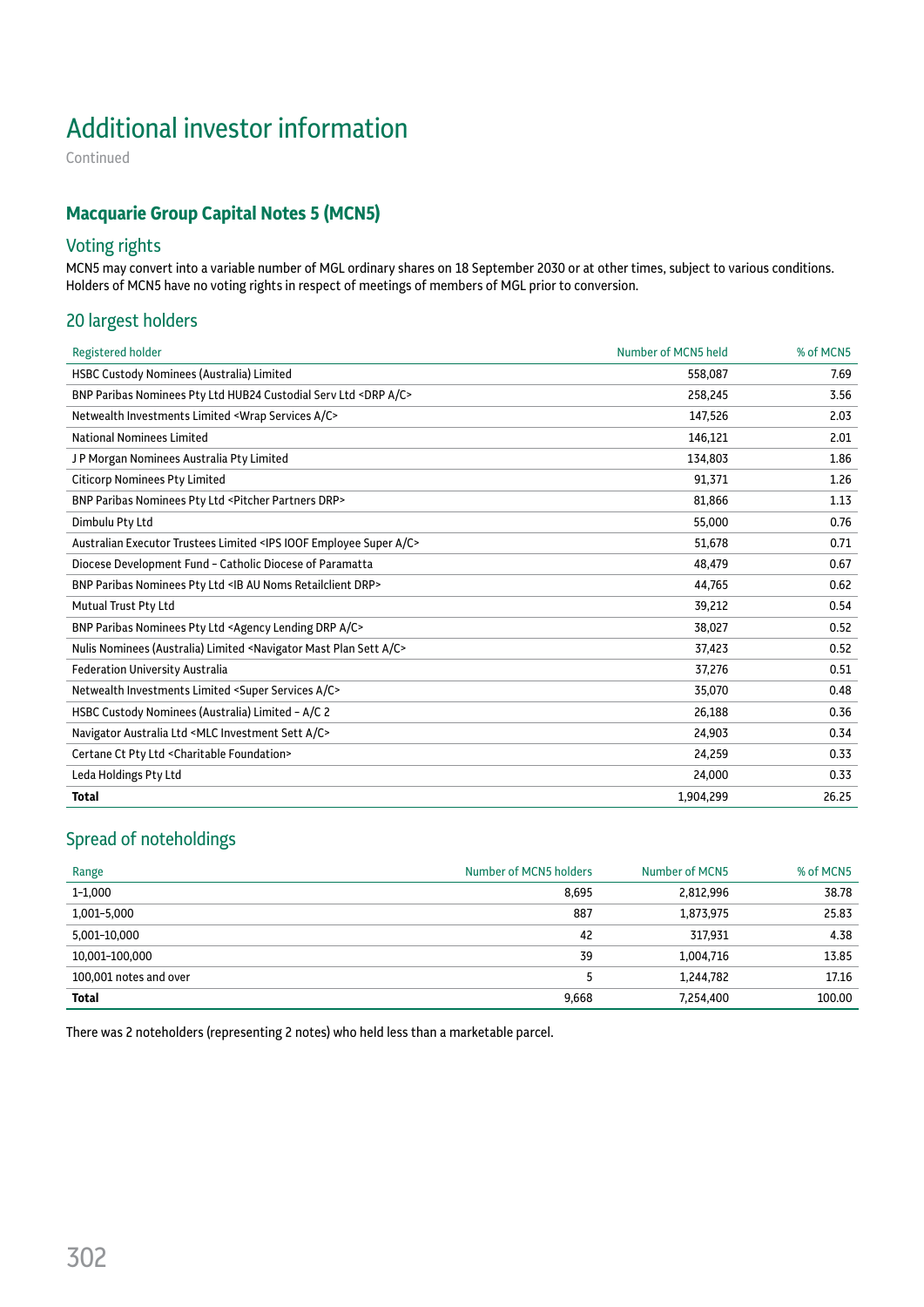# Additional investor information

Continued

## **Macquarie Group Capital Notes 5 (MCN5)**

## Voting rights

MCN5 may convert into a variable number of MGL ordinary shares on 18 September 2030 or at other times, subject to various conditions. Holders of MCN5 have no voting rights in respect of meetings of members of MGL prior to conversion.

#### 20 largest holders

| <b>Registered holder</b>                                                                     | Number of MCN5 held | % of MCN5 |
|----------------------------------------------------------------------------------------------|---------------------|-----------|
| HSBC Custody Nominees (Australia) Limited                                                    | 558,087             | 7.69      |
| BNP Paribas Nominees Pty Ltd HUB24 Custodial Serv Ltd <drp a="" c=""></drp>                  | 258,245             | 3.56      |
| Netwealth Investments Limited <wrap a="" c="" services=""></wrap>                            | 147,526             | 2.03      |
| <b>National Nominees Limited</b>                                                             | 146,121             | 2.01      |
| JP Morgan Nominees Australia Pty Limited                                                     | 134,803             | 1.86      |
| <b>Citicorp Nominees Pty Limited</b>                                                         | 91,371              | 1.26      |
| BNP Paribas Nominees Pty Ltd <pitcher drp="" partners=""></pitcher>                          | 81,866              | 1.13      |
| Dimbulu Pty Ltd                                                                              | 55,000              | 0.76      |
| Australian Executor Trustees Limited <ips a="" c="" employee="" ioof="" super=""></ips>      | 51,678              | 0.71      |
| Diocese Development Fund - Catholic Diocese of Paramatta                                     | 48,479              | 0.67      |
| BNP Paribas Nominees Pty Ltd <ib au="" drp="" noms="" retailclient=""></ib>                  | 44,765              | 0.62      |
| Mutual Trust Pty Ltd                                                                         | 39,212              | 0.54      |
| BNP Paribas Nominees Pty Ltd <agency a="" c="" drp="" lending=""></agency>                   | 38,027              | 0.52      |
| Nulis Nominees (Australia) Limited <navigator a="" c="" mast="" plan="" sett=""></navigator> | 37,423              | 0.52      |
| <b>Federation University Australia</b>                                                       | 37,276              | 0.51      |
| Netwealth Investments Limited <super a="" c="" services=""></super>                          | 35,070              | 0.48      |
| HSBC Custody Nominees (Australia) Limited - A/C 2                                            | 26,188              | 0.36      |
| Navigator Australia Ltd <mlc a="" c="" investment="" sett=""></mlc>                          | 24,903              | 0.34      |
| Certane Ct Pty Ltd < Charitable Foundation>                                                  | 24,259              | 0.33      |
| Leda Holdings Pty Ltd                                                                        | 24,000              | 0.33      |
| <b>Total</b>                                                                                 | 1,904,299           | 26.25     |

## Spread of noteholdings

| Range                  | Number of MCN5 holders | Number of MCN5 | % of MCN5 |
|------------------------|------------------------|----------------|-----------|
| $1 - 1,000$            | 8,695                  | 2,812,996      | 38.78     |
| 1,001-5,000            | 887                    | 1,873,975      | 25.83     |
| 5,001-10,000           | 42                     | 317.931        | 4.38      |
| 10,001-100,000         | 39                     | 1,004,716      | 13.85     |
| 100,001 notes and over |                        | 1,244,782      | 17.16     |
| Total                  | 9,668                  | 7,254,400      | 100.00    |

There was 2 noteholders (representing 2 notes) who held less than a marketable parcel.